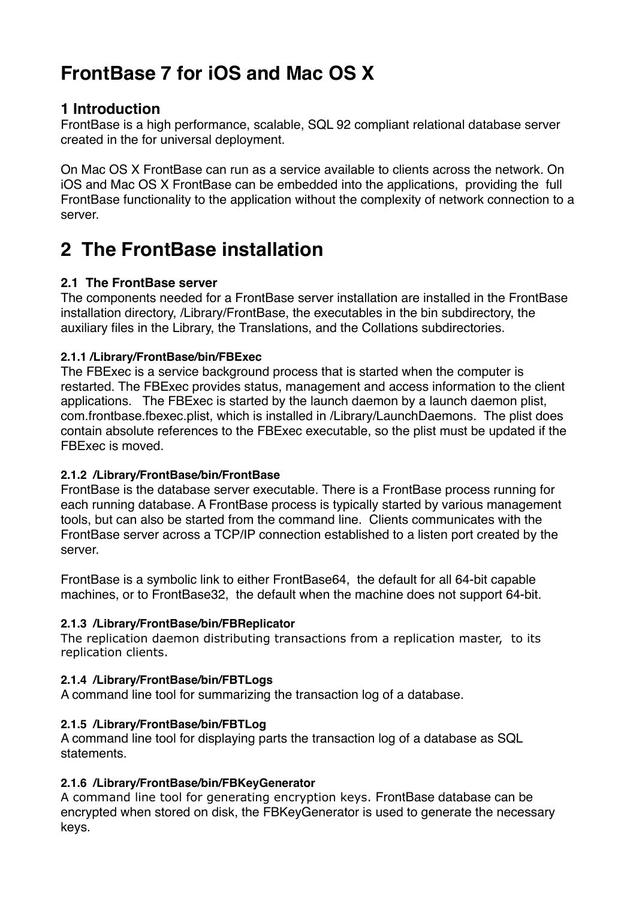# **FrontBase 7 for iOS and Mac OS X**

# **1 Introduction**

FrontBase is a high performance, scalable, SQL 92 compliant relational database server created in the for universal deployment.

On Mac OS X FrontBase can run as a service available to clients across the network. On iOS and Mac OS X FrontBase can be embedded into the applications, providing the full FrontBase functionality to the application without the complexity of network connection to a server.

# **2 The FrontBase installation**

# **2.1 The FrontBase server**

The components needed for a FrontBase server installation are installed in the FrontBase installation directory, /Library/FrontBase, the executables in the bin subdirectory, the auxiliary files in the Library, the Translations, and the Collations subdirectories.

## **2.1.1 /Library/FrontBase/bin/FBExec**

The FBExec is a service background process that is started when the computer is restarted. The FBExec provides status, management and access information to the client applications. The FBExec is started by the launch daemon by a launch daemon plist, com.frontbase.fbexec.plist, which is installed in /Library/LaunchDaemons. The plist does contain absolute references to the FBExec executable, so the plist must be updated if the FBExec is moved.

# **2.1.2 /Library/FrontBase/bin/FrontBase**

FrontBase is the database server executable. There is a FrontBase process running for each running database. A FrontBase process is typically started by various management tools, but can also be started from the command line. Clients communicates with the FrontBase server across a TCP/IP connection established to a listen port created by the server.

FrontBase is a symbolic link to either FrontBase64, the default for all 64-bit capable machines, or to FrontBase32, the default when the machine does not support 64-bit.

## **2.1.3 /Library/FrontBase/bin/FBReplicator**

The replication daemon distributing transactions from a replication master, to its replication clients.

# **2.1.4 /Library/FrontBase/bin/FBTLogs**

A command line tool for summarizing the transaction log of a database.

## **2.1.5 /Library/FrontBase/bin/FBTLog**

A command line tool for displaying parts the transaction log of a database as SQL statements.

## **2.1.6 /Library/FrontBase/bin/FBKeyGenerator**

A command line tool for generating encryption keys. FrontBase database can be encrypted when stored on disk, the FBKeyGenerator is used to generate the necessary keys.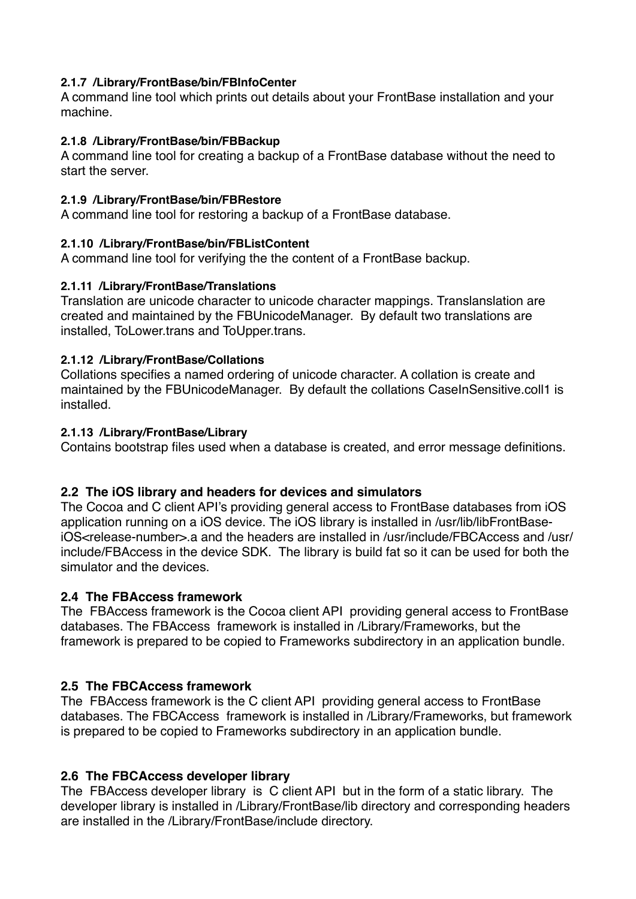#### **2.1.7 /Library/FrontBase/bin/FBInfoCenter**

A command line tool which prints out details about your FrontBase installation and your machine.

#### **2.1.8 /Library/FrontBase/bin/FBBackup**

A command line tool for creating a backup of a FrontBase database without the need to start the server.

#### **2.1.9 /Library/FrontBase/bin/FBRestore**

A command line tool for restoring a backup of a FrontBase database.

#### **2.1.10 /Library/FrontBase/bin/FBListContent**

A command line tool for verifying the the content of a FrontBase backup.

#### **2.1.11 /Library/FrontBase/Translations**

Translation are unicode character to unicode character mappings. Translanslation are created and maintained by the FBUnicodeManager. By default two translations are installed, ToLower.trans and ToUpper.trans.

#### **2.1.12 /Library/FrontBase/Collations**

Collations specifies a named ordering of unicode character. A collation is create and maintained by the FBUnicodeManager. By default the collations CaseInSensitive.coll1 is installed.

#### **2.1.13 /Library/FrontBase/Library**

Contains bootstrap files used when a database is created, and error message definitions.

## **2.2 The iOS library and headers for devices and simulators**

The Cocoa and C client API's providing general access to FrontBase databases from iOS application running on a iOS device. The iOS library is installed in /usr/lib/libFrontBaseiOS<release-number>.a and the headers are installed in /usr/include/FBCAccess and /usr/ include/FBAccess in the device SDK. The library is build fat so it can be used for both the simulator and the devices.

## **2.4 The FBAccess framework**

The FBAccess framework is the Cocoa client API providing general access to FrontBase databases. The FBAccess framework is installed in /Library/Frameworks, but the framework is prepared to be copied to Frameworks subdirectory in an application bundle.

## **2.5 The FBCAccess framework**

The FBAccess framework is the C client API providing general access to FrontBase databases. The FBCAccess framework is installed in /Library/Frameworks, but framework is prepared to be copied to Frameworks subdirectory in an application bundle.

## **2.6 The FBCAccess developer library**

The FBAccess developer library is C client API but in the form of a static library. The developer library is installed in /Library/FrontBase/lib directory and corresponding headers are installed in the /Library/FrontBase/include directory.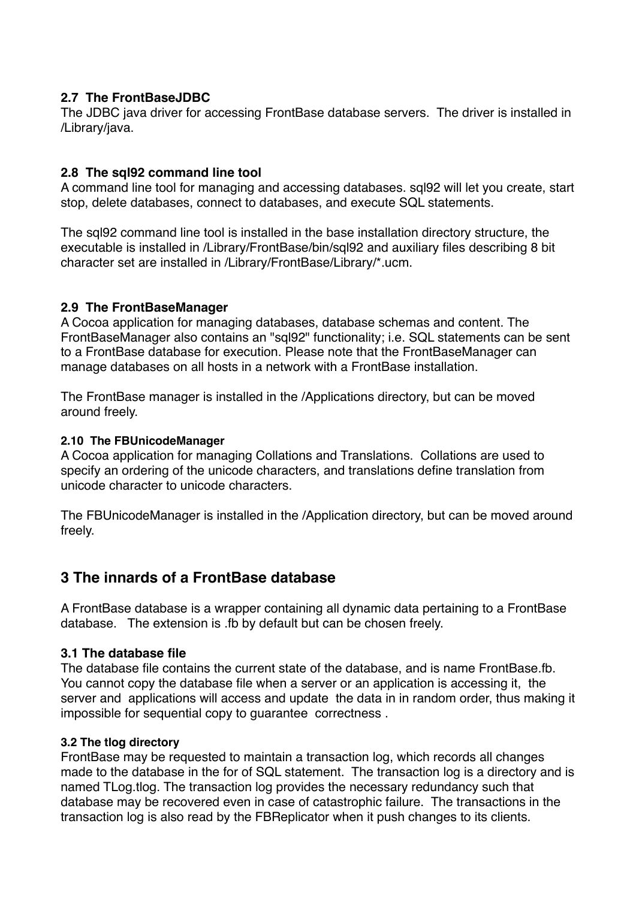# **2.7 The FrontBaseJDBC**

The JDBC java driver for accessing FrontBase database servers. The driver is installed in /Library/java.

# **2.8 The sql92 command line tool**

A command line tool for managing and accessing databases. sql92 will let you create, start stop, delete databases, connect to databases, and execute SQL statements.

The sql92 command line tool is installed in the base installation directory structure, the executable is installed in /Library/FrontBase/bin/sql92 and auxiliary files describing 8 bit character set are installed in /Library/FrontBase/Library/\*.ucm.

## **2.9 The FrontBaseManager**

A Cocoa application for managing databases, database schemas and content. The FrontBaseManager also contains an "sql92" functionality; i.e. SQL statements can be sent to a FrontBase database for execution. Please note that the FrontBaseManager can manage databases on all hosts in a network with a FrontBase installation.

The FrontBase manager is installed in the /Applications directory, but can be moved around freely.

## **2.10 The FBUnicodeManager**

A Cocoa application for managing Collations and Translations. Collations are used to specify an ordering of the unicode characters, and translations define translation from unicode character to unicode characters.

The FBUnicodeManager is installed in the /Application directory, but can be moved around freely.

# **3 The innards of a FrontBase database**

A FrontBase database is a wrapper containing all dynamic data pertaining to a FrontBase database. The extension is .fb by default but can be chosen freely.

## **3.1 The database file**

The database file contains the current state of the database, and is name FrontBase.fb. You cannot copy the database file when a server or an application is accessing it, the server and applications will access and update the data in in random order, thus making it impossible for sequential copy to guarantee correctness .

#### **3.2 The tlog directory**

FrontBase may be requested to maintain a transaction log, which records all changes made to the database in the for of SQL statement. The transaction log is a directory and is named TLog.tlog. The transaction log provides the necessary redundancy such that database may be recovered even in case of catastrophic failure. The transactions in the transaction log is also read by the FBReplicator when it push changes to its clients.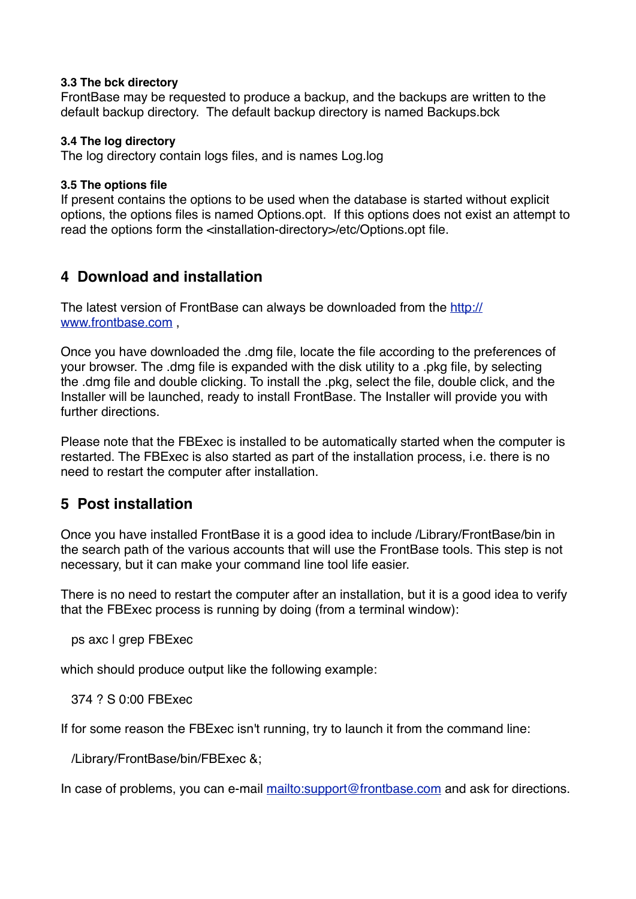#### **3.3 The bck directory**

FrontBase may be requested to produce a backup, and the backups are written to the default backup directory. The default backup directory is named Backups.bck

#### **3.4 The log directory**

The log directory contain logs files, and is names Log.log

#### **3.5 The options file**

If present contains the options to be used when the database is started without explicit options, the options files is named Options.opt. If this options does not exist an attempt to read the options form the <installation-directory>/etc/Options.opt file.

# **4 Download and installation**

The latest version of FrontBase can always be downloaded from the [http://](http://www.frontbase.com) [www.frontbase.com](http://www.frontbase.com) ,

Once you have downloaded the .dmg file, locate the file according to the preferences of your browser. The .dmg file is expanded with the disk utility to a .pkg file, by selecting the .dmg file and double clicking. To install the .pkg, select the file, double click, and the Installer will be launched, ready to install FrontBase. The Installer will provide you with further directions.

Please note that the FBExec is installed to be automatically started when the computer is restarted. The FBExec is also started as part of the installation process, i.e. there is no need to restart the computer after installation.

# **5 Post installation**

Once you have installed FrontBase it is a good idea to include /Library/FrontBase/bin in the search path of the various accounts that will use the FrontBase tools. This step is not necessary, but it can make your command line tool life easier.

There is no need to restart the computer after an installation, but it is a good idea to verify that the FBExec process is running by doing (from a terminal window):

ps axc | grep FBExec

which should produce output like the following example:

374 ? S 0:00 FBExec

If for some reason the FBExec isn't running, try to launch it from the command line:

/Library/FrontBase/bin/FBExec &;

In case of problems, you can e-mail <mailto:support@frontbase.com> and ask for directions.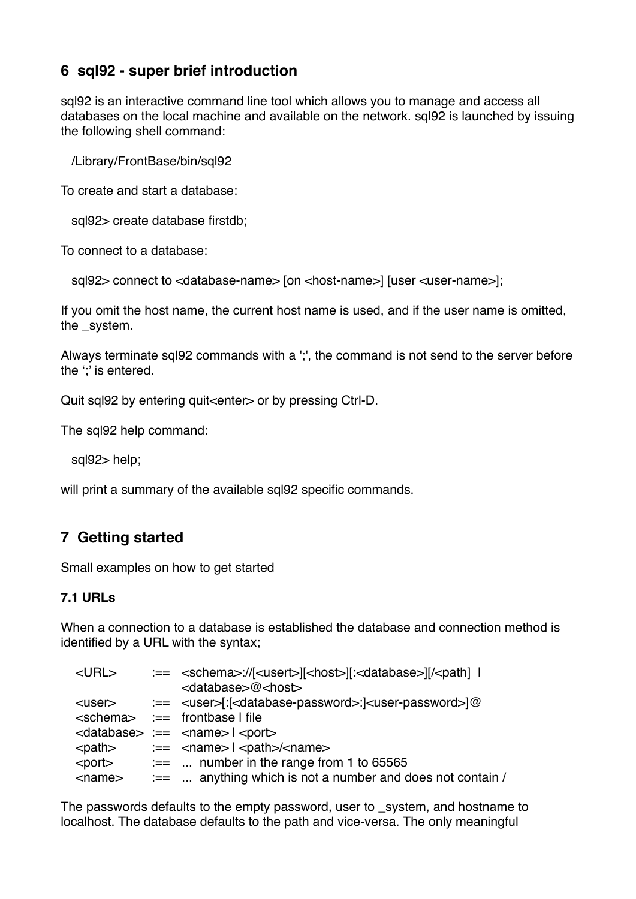# **6 sql92 - super brief introduction**

sql92 is an interactive command line tool which allows you to manage and access all databases on the local machine and available on the network. sql92 is launched by issuing the following shell command:

/Library/FrontBase/bin/sql92

To create and start a database:

sql92> create database firstdb;

To connect to a database:

sql92> connect to <database-name> [on <host-name>] [user <user-name>];

If you omit the host name, the current host name is used, and if the user name is omitted, the system.

Always terminate sql92 commands with a ';', the command is not send to the server before the "*i* is entered.

Quit sql92 by entering quit<enter> or by pressing Ctrl-D.

The sql92 help command:

sql92> help;

will print a summary of the available sql92 specific commands.

# **7 Getting started**

Small examples on how to get started

#### **7.1 URLs**

When a connection to a database is established the database and connection method is identified by a URL with the syntax;

| $<$ URL $>$   | :== <schema>://[<usert>][<host>][:<database>][/<path] th=""  <=""></path]></database></host></usert></schema>                                                                                                                                                    |
|---------------|------------------------------------------------------------------------------------------------------------------------------------------------------------------------------------------------------------------------------------------------------------------|
|               | <database>@<host></host></database>                                                                                                                                                                                                                              |
|               |                                                                                                                                                                                                                                                                  |
|               | <schema> :== frontbase I file</schema>                                                                                                                                                                                                                           |
|               | $\alpha$ <database> :== <math>\alpha</math> ame&gt; <math>\alpha</math> <port></port></database>                                                                                                                                                                 |
| <path></path> | $\equiv$ <name><math>\mid</math> <path>/<name></name></path></name>                                                                                                                                                                                              |
|               | $\leq$ port $\geq$ $\leq$ $\leq$ $\leq$ $\leq$ $\leq$ $\leq$ $\leq$ $\leq$ $\leq$ $\leq$ $\leq$ $\leq$ $\leq$ $\leq$ $\leq$ $\leq$ $\leq$ $\leq$ $\leq$ $\leq$ $\leq$ $\leq$ $\leq$ $\leq$ $\leq$ $\leq$ $\leq$ $\leq$ $\leq$ $\leq$ $\leq$ $\leq$ $\leq$ $\leq$ |
| $<$ name $>$  | $:=$ anything which is not a number and does not contain /                                                                                                                                                                                                       |

The passwords defaults to the empty password, user to \_system, and hostname to localhost. The database defaults to the path and vice-versa. The only meaningful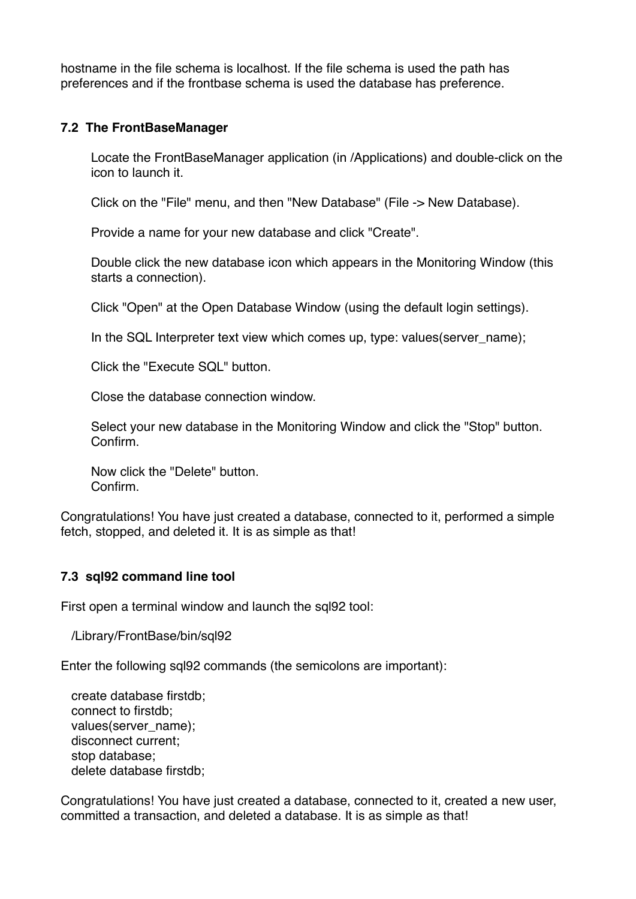hostname in the file schema is localhost. If the file schema is used the path has preferences and if the frontbase schema is used the database has preference.

#### **7.2 The FrontBaseManager**

Locate the FrontBaseManager application (in /Applications) and double-click on the icon to launch it.

Click on the "File" menu, and then "New Database" (File -> New Database).

Provide a name for your new database and click "Create".

Double click the new database icon which appears in the Monitoring Window (this starts a connection).

Click "Open" at the Open Database Window (using the default login settings).

In the SQL Interpreter text view which comes up, type: values(server\_name);

Click the "Execute SQL" button.

Close the database connection window.

Select your new database in the Monitoring Window and click the "Stop" button. Confirm.

Now click the "Delete" button. Confirm.

Congratulations! You have just created a database, connected to it, performed a simple fetch, stopped, and deleted it. It is as simple as that!

#### **7.3 sql92 command line tool**

First open a terminal window and launch the sql92 tool:

/Library/FrontBase/bin/sql92

Enter the following sql92 commands (the semicolons are important):

 create database firstdb; connect to firstdb; values(server\_name); disconnect current; stop database; delete database firstdb;

Congratulations! You have just created a database, connected to it, created a new user, committed a transaction, and deleted a database. It is as simple as that!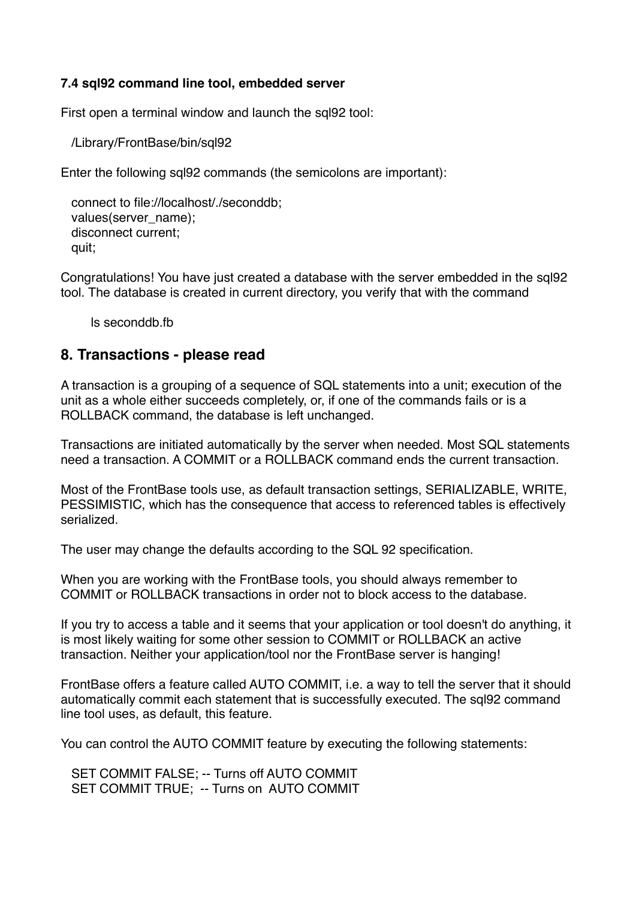#### **7.4 sql92 command line tool, embedded server**

First open a terminal window and launch the sql92 tool:

/Library/FrontBase/bin/sql92

Enter the following sql92 commands (the semicolons are important):

```
 connect to file://localhost/./seconddb;
values(server_name);
 disconnect current;
 quit;
```
Congratulations! You have just created a database with the server embedded in the sql92 tool. The database is created in current directory, you verify that with the command

ls seconddb.fb

## **8. Transactions - please read**

A transaction is a grouping of a sequence of SQL statements into a unit; execution of the unit as a whole either succeeds completely, or, if one of the commands fails or is a ROLLBACK command, the database is left unchanged.

Transactions are initiated automatically by the server when needed. Most SQL statements need a transaction. A COMMIT or a ROLLBACK command ends the current transaction.

Most of the FrontBase tools use, as default transaction settings, SERIALIZABLE, WRITE, PESSIMISTIC, which has the consequence that access to referenced tables is effectively serialized.

The user may change the defaults according to the SQL 92 specification.

When you are working with the FrontBase tools, you should always remember to COMMIT or ROLLBACK transactions in order not to block access to the database.

If you try to access a table and it seems that your application or tool doesn't do anything, it is most likely waiting for some other session to COMMIT or ROLLBACK an active transaction. Neither your application/tool nor the FrontBase server is hanging!

FrontBase offers a feature called AUTO COMMIT, i.e. a way to tell the server that it should automatically commit each statement that is successfully executed. The sql92 command line tool uses, as default, this feature.

You can control the AUTO COMMIT feature by executing the following statements:

 SET COMMIT FALSE; -- Turns off AUTO COMMIT SET COMMIT TRUE; -- Turns on AUTO COMMIT